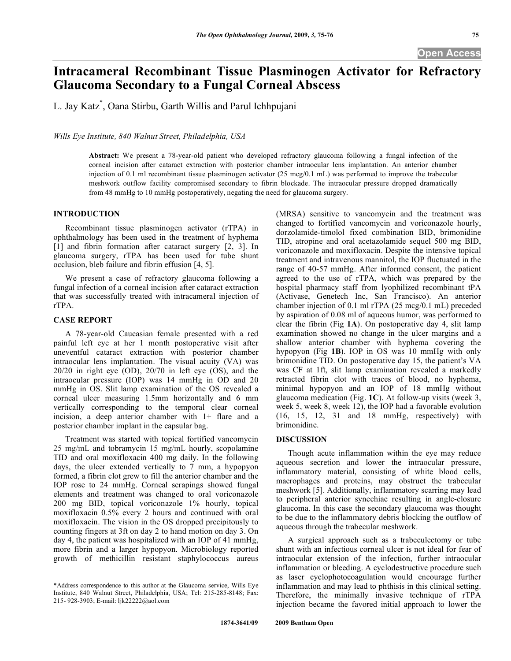# **Intracameral Recombinant Tissue Plasminogen Activator for Refractory Glaucoma Secondary to a Fungal Corneal Abscess**

L. Jay Katz\* , Oana Stirbu, Garth Willis and Parul Ichhpujani

*Wills Eye Institute, 840 Walnut Street, Philadelphia, USA* 

**Abstract:** We present a 78-year-old patient who developed refractory glaucoma following a fungal infection of the corneal incision after cataract extraction with posterior chamber intraocular lens implantation. An anterior chamber injection of 0.1 ml recombinant tissue plasminogen activator (25 mcg/0.1 mL) was performed to improve the trabecular meshwork outflow facility compromised secondary to fibrin blockade. The intraocular pressure dropped dramatically from 48 mmHg to 10 mmHg postoperatively, negating the need for glaucoma surgery.

## **INTRODUCTION**

 Recombinant tissue plasminogen activator (rTPA) in ophthalmology has been used in the treatment of hyphema [1] and fibrin formation after cataract surgery [2, 3]. In glaucoma surgery, rTPA has been used for tube shunt occlusion, bleb failure and fibrin effusion [4, 5].

 We present a case of refractory glaucoma following a fungal infection of a corneal incision after cataract extraction that was successfully treated with intracameral injection of rTPA.

## **CASE REPORT**

 A 78-year-old Caucasian female presented with a red painful left eye at her 1 month postoperative visit after uneventful cataract extraction with posterior chamber intraocular lens implantation. The visual acuity (VA) was 20/20 in right eye (OD), 20/70 in left eye (OS), and the intraocular pressure (IOP) was 14 mmHg in OD and 20 mmHg in OS. Slit lamp examination of the OS revealed a corneal ulcer measuring 1.5mm horizontally and 6 mm vertically corresponding to the temporal clear corneal incision, a deep anterior chamber with 1+ flare and a posterior chamber implant in the capsular bag.

 Treatment was started with topical fortified vancomycin 25 mg/mL and tobramycin 15 mg/mL hourly, scopolamine TID and oral moxifloxacin 400 mg daily. In the following days, the ulcer extended vertically to 7 mm, a hypopyon formed, a fibrin clot grew to fill the anterior chamber and the IOP rose to 24 mmHg. Corneal scrapings showed fungal elements and treatment was changed to oral voriconazole 200 mg BID, topical voriconazole 1% hourly, topical moxifloxacin 0.5% every 2 hours and continued with oral moxifloxacin. The vision in the OS dropped precipitously to counting fingers at 3ft on day 2 to hand motion on day 3. On day 4, the patient was hospitalized with an IOP of 41 mmHg, more fibrin and a larger hypopyon. Microbiology reported growth of methicillin resistant staphylococcus aureus

(MRSA) sensitive to vancomycin and the treatment was changed to fortified vancomycin and voriconazole hourly, dorzolamide-timolol fixed combination BID, brimonidine TID, atropine and oral acetazolamide sequel 500 mg BID, voriconazole and moxifloxacin. Despite the intensive topical treatment and intravenous mannitol, the IOP fluctuated in the range of 40-57 mmHg. After informed consent, the patient agreed to the use of rTPA, which was prepared by the hospital pharmacy staff from lyophilized recombinant tPA (Activase, Genetech Inc, San Francisco). An anterior chamber injection of 0.1 ml rTPA (25 mcg/0.1 mL) preceded by aspiration of 0.08 ml of aqueous humor, was performed to clear the fibrin (Fig **1A**). On postoperative day 4, slit lamp examination showed no change in the ulcer margins and a shallow anterior chamber with hyphema covering the hypopyon (Fig **1B**). IOP in OS was 10 mmHg with only brimonidine TID. On postoperative day 15, the patient's VA was CF at 1ft, slit lamp examination revealed a markedly retracted fibrin clot with traces of blood, no hyphema, minimal hypopyon and an IOP of 18 mmHg without glaucoma medication (Fig. **1C**). At follow-up visits (week 3, week 5, week 8, week 12), the IOP had a favorable evolution (16, 15, 12, 31 and 18 mmHg, respectively) with brimonidine.

#### **DISCUSSION**

 Though acute inflammation within the eye may reduce aqueous secretion and lower the intraocular pressure, inflammatory material, consisting of white blood cells, macrophages and proteins, may obstruct the trabecular meshwork [5]. Additionally, inflammatory scarring may lead to peripheral anterior synechiae resulting in angle-closure glaucoma. In this case the secondary glaucoma was thought to be due to the inflammatory debris blocking the outflow of aqueous through the trabecular meshwork.

 A surgical approach such as a trabeculectomy or tube shunt with an infectious corneal ulcer is not ideal for fear of intraocular extension of the infection, further intraocular inflammation or bleeding. A cyclodestructive procedure such as laser cyclophotocoagulation would encourage further inflammation and may lead to phthisis in this clinical setting. Therefore, the minimally invasive technique of rTPA injection became the favored initial approach to lower the

<sup>\*</sup>Address correspondence to this author at the Glaucoma service, Wills Eye Institute, 840 Walnut Street, Philadelphia, USA; Tel: 215-285-8148; Fax: 215- 928-3903; E-mail: ljk22222@aol.com